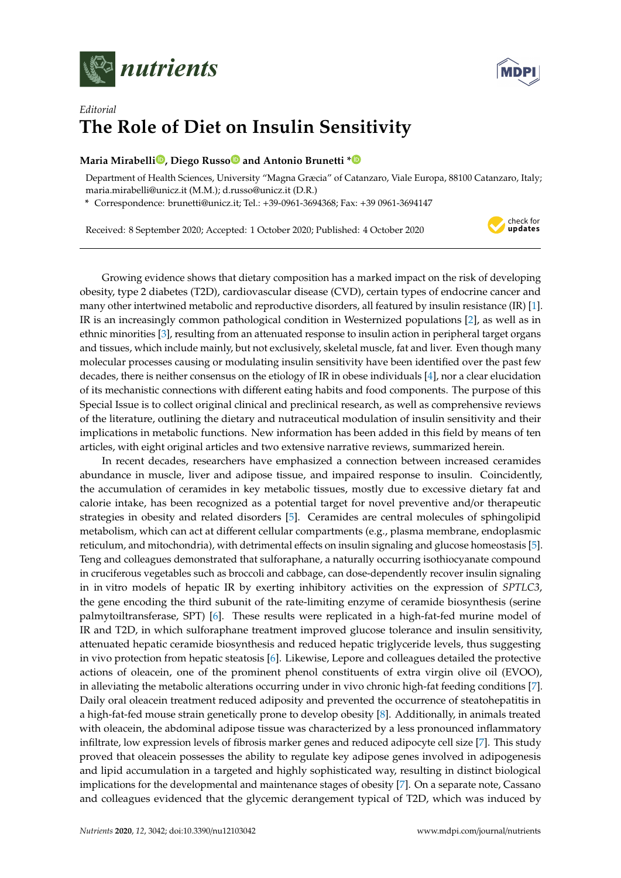



## *Editorial* **The Role of Diet on Insulin Sensitivity**

## **Maria Mirabell[i](https://orcid.org/0000-0002-6427-7186) , Diego Russ[o](https://orcid.org/0000-0001-7559-1595) and Antonio Brunetti [\\*](https://orcid.org/0000-0003-1533-8779)**

Department of Health Sciences, University "Magna Græcia" of Catanzaro, Viale Europa, 88100 Catanzaro, Italy; maria.mirabelli@unicz.it (M.M.); d.russo@unicz.it (D.R.)

**\*** Correspondence: brunetti@unicz.it; Tel.: +39-0961-3694368; Fax: +39 0961-3694147

Received: 8 September 2020; Accepted: 1 October 2020; Published: 4 October 2020



Growing evidence shows that dietary composition has a marked impact on the risk of developing obesity, type 2 diabetes (T2D), cardiovascular disease (CVD), certain types of endocrine cancer and many other intertwined metabolic and reproductive disorders, all featured by insulin resistance (IR) [\[1\]](#page-3-0). IR is an increasingly common pathological condition in Westernized populations [\[2\]](#page-3-1), as well as in ethnic minorities [\[3\]](#page-3-2), resulting from an attenuated response to insulin action in peripheral target organs and tissues, which include mainly, but not exclusively, skeletal muscle, fat and liver. Even though many molecular processes causing or modulating insulin sensitivity have been identified over the past few decades, there is neither consensus on the etiology of IR in obese individuals [\[4\]](#page-3-3), nor a clear elucidation of its mechanistic connections with different eating habits and food components. The purpose of this Special Issue is to collect original clinical and preclinical research, as well as comprehensive reviews of the literature, outlining the dietary and nutraceutical modulation of insulin sensitivity and their implications in metabolic functions. New information has been added in this field by means of ten articles, with eight original articles and two extensive narrative reviews, summarized herein.

In recent decades, researchers have emphasized a connection between increased ceramides abundance in muscle, liver and adipose tissue, and impaired response to insulin. Coincidently, the accumulation of ceramides in key metabolic tissues, mostly due to excessive dietary fat and calorie intake, has been recognized as a potential target for novel preventive and/or therapeutic strategies in obesity and related disorders [\[5\]](#page-3-4). Ceramides are central molecules of sphingolipid metabolism, which can act at different cellular compartments (e.g., plasma membrane, endoplasmic reticulum, and mitochondria), with detrimental effects on insulin signaling and glucose homeostasis [\[5\]](#page-3-4). Teng and colleagues demonstrated that sulforaphane, a naturally occurring isothiocyanate compound in cruciferous vegetables such as broccoli and cabbage, can dose-dependently recover insulin signaling in in vitro models of hepatic IR by exerting inhibitory activities on the expression of *SPTLC3*, the gene encoding the third subunit of the rate-limiting enzyme of ceramide biosynthesis (serine palmytoiltransferase, SPT) [\[6\]](#page-3-5). These results were replicated in a high-fat-fed murine model of IR and T2D, in which sulforaphane treatment improved glucose tolerance and insulin sensitivity, attenuated hepatic ceramide biosynthesis and reduced hepatic triglyceride levels, thus suggesting in vivo protection from hepatic steatosis [\[6\]](#page-3-5). Likewise, Lepore and colleagues detailed the protective actions of oleacein, one of the prominent phenol constituents of extra virgin olive oil (EVOO), in alleviating the metabolic alterations occurring under in vivo chronic high-fat feeding conditions [\[7\]](#page-3-6). Daily oral oleacein treatment reduced adiposity and prevented the occurrence of steatohepatitis in a high-fat-fed mouse strain genetically prone to develop obesity [\[8\]](#page-3-7). Additionally, in animals treated with oleacein, the abdominal adipose tissue was characterized by a less pronounced inflammatory infiltrate, low expression levels of fibrosis marker genes and reduced adipocyte cell size [\[7\]](#page-3-6). This study proved that oleacein possesses the ability to regulate key adipose genes involved in adipogenesis and lipid accumulation in a targeted and highly sophisticated way, resulting in distinct biological implications for the developmental and maintenance stages of obesity [\[7\]](#page-3-6). On a separate note, Cassano and colleagues evidenced that the glycemic derangement typical of T2D, which was induced by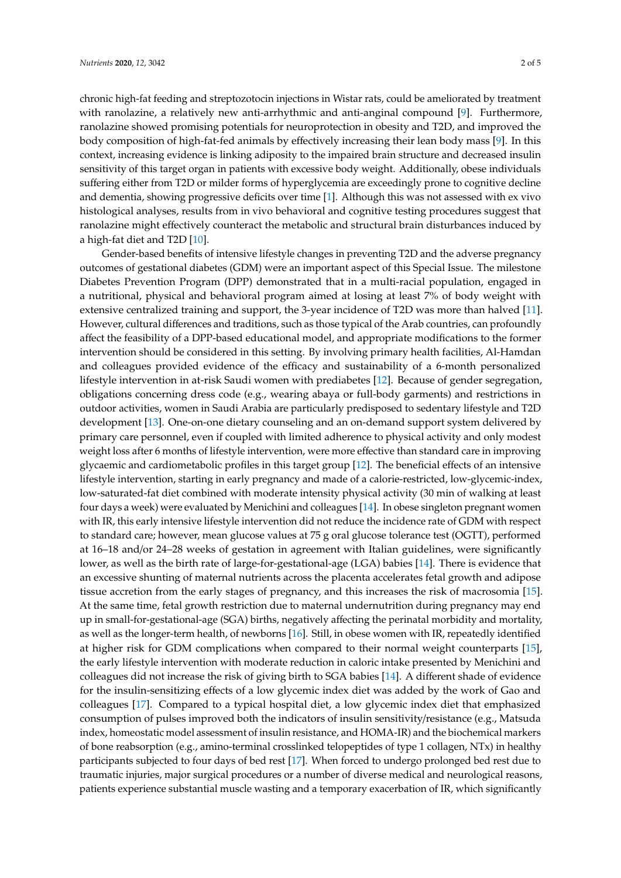chronic high-fat feeding and streptozotocin injections in Wistar rats, could be ameliorated by treatment with ranolazine, a relatively new anti-arrhythmic and anti-anginal compound [\[9\]](#page-3-8). Furthermore, ranolazine showed promising potentials for neuroprotection in obesity and T2D, and improved the body composition of high-fat-fed animals by effectively increasing their lean body mass [\[9\]](#page-3-8). In this context, increasing evidence is linking adiposity to the impaired brain structure and decreased insulin sensitivity of this target organ in patients with excessive body weight. Additionally, obese individuals suffering either from T2D or milder forms of hyperglycemia are exceedingly prone to cognitive decline and dementia, showing progressive deficits over time [\[1\]](#page-3-0). Although this was not assessed with ex vivo histological analyses, results from in vivo behavioral and cognitive testing procedures suggest that ranolazine might effectively counteract the metabolic and structural brain disturbances induced by a high-fat diet and T2D [\[10\]](#page-3-9).

Gender-based benefits of intensive lifestyle changes in preventing T2D and the adverse pregnancy outcomes of gestational diabetes (GDM) were an important aspect of this Special Issue. The milestone Diabetes Prevention Program (DPP) demonstrated that in a multi-racial population, engaged in a nutritional, physical and behavioral program aimed at losing at least 7% of body weight with extensive centralized training and support, the 3-year incidence of T2D was more than halved [\[11\]](#page-3-10). However, cultural differences and traditions, such as those typical of the Arab countries, can profoundly affect the feasibility of a DPP-based educational model, and appropriate modifications to the former intervention should be considered in this setting. By involving primary health facilities, Al-Hamdan and colleagues provided evidence of the efficacy and sustainability of a 6-month personalized lifestyle intervention in at-risk Saudi women with prediabetes [\[12\]](#page-3-11). Because of gender segregation, obligations concerning dress code (e.g., wearing abaya or full-body garments) and restrictions in outdoor activities, women in Saudi Arabia are particularly predisposed to sedentary lifestyle and T2D development [\[13\]](#page-3-12). One-on-one dietary counseling and an on-demand support system delivered by primary care personnel, even if coupled with limited adherence to physical activity and only modest weight loss after 6 months of lifestyle intervention, were more effective than standard care in improving glycaemic and cardiometabolic profiles in this target group [\[12\]](#page-3-11). The beneficial effects of an intensive lifestyle intervention, starting in early pregnancy and made of a calorie-restricted, low-glycemic-index, low-saturated-fat diet combined with moderate intensity physical activity (30 min of walking at least four days a week) were evaluated by Menichini and colleagues [\[14\]](#page-3-13). In obese singleton pregnant women with IR, this early intensive lifestyle intervention did not reduce the incidence rate of GDM with respect to standard care; however, mean glucose values at 75 g oral glucose tolerance test (OGTT), performed at 16–18 and/or 24–28 weeks of gestation in agreement with Italian guidelines, were significantly lower, as well as the birth rate of large-for-gestational-age (LGA) babies [\[14\]](#page-3-13). There is evidence that an excessive shunting of maternal nutrients across the placenta accelerates fetal growth and adipose tissue accretion from the early stages of pregnancy, and this increases the risk of macrosomia [\[15\]](#page-3-14). At the same time, fetal growth restriction due to maternal undernutrition during pregnancy may end up in small-for-gestational-age (SGA) births, negatively affecting the perinatal morbidity and mortality, as well as the longer-term health, of newborns [\[16\]](#page-3-15). Still, in obese women with IR, repeatedly identified at higher risk for GDM complications when compared to their normal weight counterparts [\[15\]](#page-3-14), the early lifestyle intervention with moderate reduction in caloric intake presented by Menichini and colleagues did not increase the risk of giving birth to SGA babies [\[14\]](#page-3-13). A different shade of evidence for the insulin-sensitizing effects of a low glycemic index diet was added by the work of Gao and colleagues [\[17\]](#page-4-0). Compared to a typical hospital diet, a low glycemic index diet that emphasized consumption of pulses improved both the indicators of insulin sensitivity/resistance (e.g., Matsuda index, homeostatic model assessment of insulin resistance, and HOMA-IR) and the biochemical markers of bone reabsorption (e.g., amino-terminal crosslinked telopeptides of type 1 collagen, NTx) in healthy participants subjected to four days of bed rest [\[17\]](#page-4-0). When forced to undergo prolonged bed rest due to traumatic injuries, major surgical procedures or a number of diverse medical and neurological reasons, patients experience substantial muscle wasting and a temporary exacerbation of IR, which significantly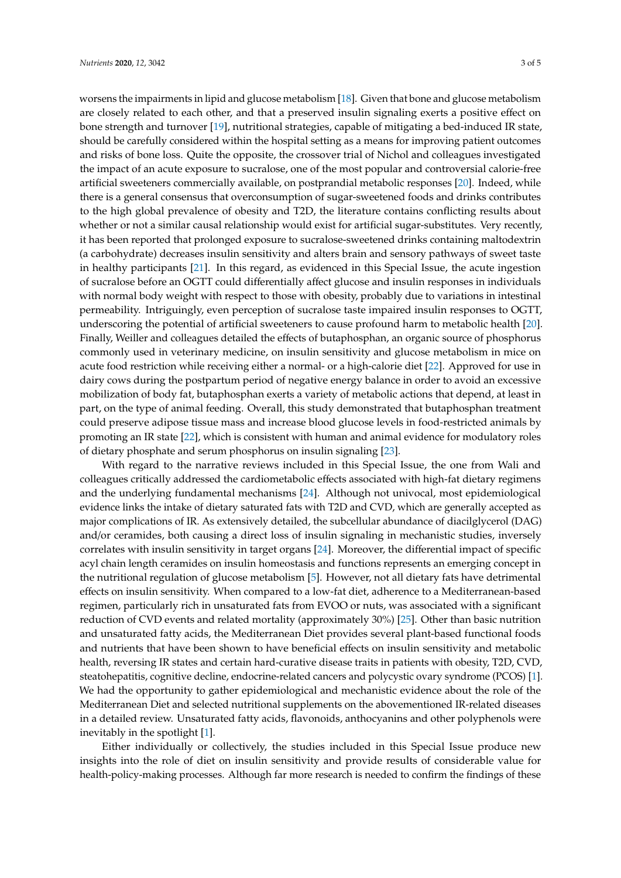worsens the impairments in lipid and glucose metabolism [\[18\]](#page-4-1). Given that bone and glucose metabolism are closely related to each other, and that a preserved insulin signaling exerts a positive effect on bone strength and turnover [\[19\]](#page-4-2), nutritional strategies, capable of mitigating a bed-induced IR state, should be carefully considered within the hospital setting as a means for improving patient outcomes and risks of bone loss. Quite the opposite, the crossover trial of Nichol and colleagues investigated the impact of an acute exposure to sucralose, one of the most popular and controversial calorie-free artificial sweeteners commercially available, on postprandial metabolic responses [\[20\]](#page-4-3). Indeed, while there is a general consensus that overconsumption of sugar-sweetened foods and drinks contributes to the high global prevalence of obesity and T2D, the literature contains conflicting results about whether or not a similar causal relationship would exist for artificial sugar-substitutes. Very recently, it has been reported that prolonged exposure to sucralose-sweetened drinks containing maltodextrin (a carbohydrate) decreases insulin sensitivity and alters brain and sensory pathways of sweet taste in healthy participants [\[21\]](#page-4-4). In this regard, as evidenced in this Special Issue, the acute ingestion of sucralose before an OGTT could differentially affect glucose and insulin responses in individuals with normal body weight with respect to those with obesity, probably due to variations in intestinal permeability. Intriguingly, even perception of sucralose taste impaired insulin responses to OGTT, underscoring the potential of artificial sweeteners to cause profound harm to metabolic health [\[20\]](#page-4-3). Finally, Weiller and colleagues detailed the effects of butaphosphan, an organic source of phosphorus commonly used in veterinary medicine, on insulin sensitivity and glucose metabolism in mice on acute food restriction while receiving either a normal- or a high-calorie diet [\[22\]](#page-4-5). Approved for use in dairy cows during the postpartum period of negative energy balance in order to avoid an excessive mobilization of body fat, butaphosphan exerts a variety of metabolic actions that depend, at least in part, on the type of animal feeding. Overall, this study demonstrated that butaphosphan treatment could preserve adipose tissue mass and increase blood glucose levels in food-restricted animals by promoting an IR state [\[22\]](#page-4-5), which is consistent with human and animal evidence for modulatory roles of dietary phosphate and serum phosphorus on insulin signaling [\[23\]](#page-4-6).

With regard to the narrative reviews included in this Special Issue, the one from Wali and colleagues critically addressed the cardiometabolic effects associated with high-fat dietary regimens and the underlying fundamental mechanisms [\[24\]](#page-4-7). Although not univocal, most epidemiological evidence links the intake of dietary saturated fats with T2D and CVD, which are generally accepted as major complications of IR. As extensively detailed, the subcellular abundance of diacilglycerol (DAG) and/or ceramides, both causing a direct loss of insulin signaling in mechanistic studies, inversely correlates with insulin sensitivity in target organs [\[24\]](#page-4-7). Moreover, the differential impact of specific acyl chain length ceramides on insulin homeostasis and functions represents an emerging concept in the nutritional regulation of glucose metabolism [\[5\]](#page-3-4). However, not all dietary fats have detrimental effects on insulin sensitivity. When compared to a low-fat diet, adherence to a Mediterranean-based regimen, particularly rich in unsaturated fats from EVOO or nuts, was associated with a significant reduction of CVD events and related mortality (approximately 30%) [\[25\]](#page-4-8). Other than basic nutrition and unsaturated fatty acids, the Mediterranean Diet provides several plant-based functional foods and nutrients that have been shown to have beneficial effects on insulin sensitivity and metabolic health, reversing IR states and certain hard-curative disease traits in patients with obesity, T2D, CVD, steatohepatitis, cognitive decline, endocrine-related cancers and polycystic ovary syndrome (PCOS) [\[1\]](#page-3-0). We had the opportunity to gather epidemiological and mechanistic evidence about the role of the Mediterranean Diet and selected nutritional supplements on the abovementioned IR-related diseases in a detailed review. Unsaturated fatty acids, flavonoids, anthocyanins and other polyphenols were inevitably in the spotlight [\[1\]](#page-3-0).

Either individually or collectively, the studies included in this Special Issue produce new insights into the role of diet on insulin sensitivity and provide results of considerable value for health-policy-making processes. Although far more research is needed to confirm the findings of these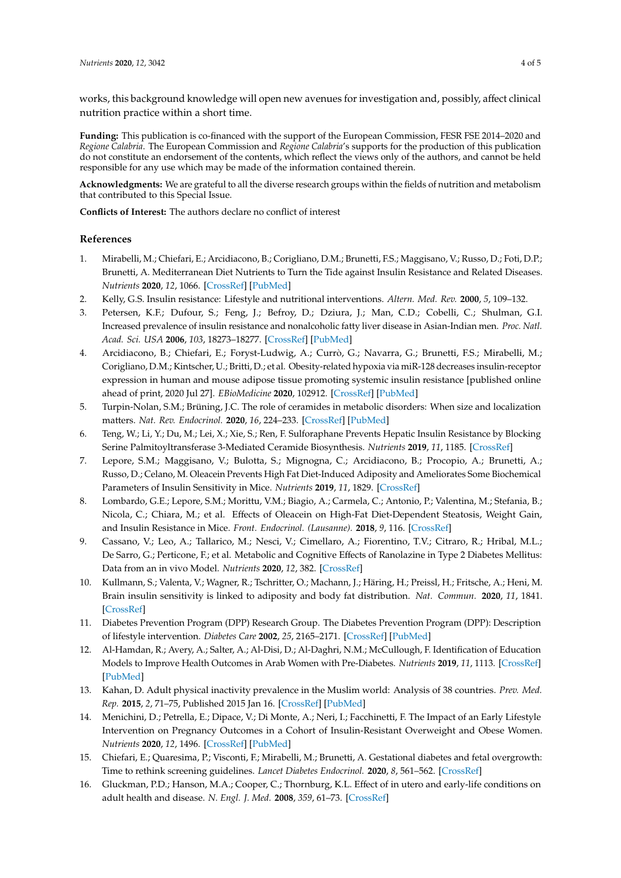works, this background knowledge will open new avenues for investigation and, possibly, affect clinical nutrition practice within a short time.

**Funding:** This publication is co-financed with the support of the European Commission, FESR FSE 2014–2020 and *Regione Calabria*. The European Commission and *Regione Calabria*'s supports for the production of this publication do not constitute an endorsement of the contents, which reflect the views only of the authors, and cannot be held responsible for any use which may be made of the information contained therein.

**Acknowledgments:** We are grateful to all the diverse research groups within the fields of nutrition and metabolism that contributed to this Special Issue.

**Conflicts of Interest:** The authors declare no conflict of interest

## **References**

- <span id="page-3-0"></span>1. Mirabelli, M.; Chiefari, E.; Arcidiacono, B.; Corigliano, D.M.; Brunetti, F.S.; Maggisano, V.; Russo, D.; Foti, D.P.; Brunetti, A. Mediterranean Diet Nutrients to Turn the Tide against Insulin Resistance and Related Diseases. *Nutrients* **2020**, *12*, 1066. [\[CrossRef\]](http://dx.doi.org/10.3390/nu12041066) [\[PubMed\]](http://www.ncbi.nlm.nih.gov/pubmed/32290535)
- <span id="page-3-1"></span>2. Kelly, G.S. Insulin resistance: Lifestyle and nutritional interventions. *Altern. Med. Rev.* **2000**, *5*, 109–132.
- <span id="page-3-2"></span>3. Petersen, K.F.; Dufour, S.; Feng, J.; Befroy, D.; Dziura, J.; Man, C.D.; Cobelli, C.; Shulman, G.I. Increased prevalence of insulin resistance and nonalcoholic fatty liver disease in Asian-Indian men. *Proc. Natl. Acad. Sci. USA* **2006**, *103*, 18273–18277. [\[CrossRef\]](http://dx.doi.org/10.1073/pnas.0608537103) [\[PubMed\]](http://www.ncbi.nlm.nih.gov/pubmed/17114290)
- <span id="page-3-3"></span>4. Arcidiacono, B.; Chiefari, E.; Foryst-Ludwig, A.; Currò, G.; Navarra, G.; Brunetti, F.S.; Mirabelli, M.; Corigliano, D.M.; Kintscher, U.; Britti, D.; et al. Obesity-related hypoxia via miR-128 decreases insulin-receptor expression in human and mouse adipose tissue promoting systemic insulin resistance [published online ahead of print, 2020 Jul 27]. *EBioMedicine* **2020**, 102912. [\[CrossRef\]](http://dx.doi.org/10.1016/j.ebiom.2020.102912) [\[PubMed\]](http://www.ncbi.nlm.nih.gov/pubmed/32739259)
- <span id="page-3-4"></span>5. Turpin-Nolan, S.M.; Brüning, J.C. The role of ceramides in metabolic disorders: When size and localization matters. *Nat. Rev. Endocrinol.* **2020**, *16*, 224–233. [\[CrossRef\]](http://dx.doi.org/10.1038/s41574-020-0320-5) [\[PubMed\]](http://www.ncbi.nlm.nih.gov/pubmed/32060415)
- <span id="page-3-5"></span>6. Teng, W.; Li, Y.; Du, M.; Lei, X.; Xie, S.; Ren, F. Sulforaphane Prevents Hepatic Insulin Resistance by Blocking Serine Palmitoyltransferase 3-Mediated Ceramide Biosynthesis. *Nutrients* **2019**, *11*, 1185. [\[CrossRef\]](http://dx.doi.org/10.3390/nu11051185)
- <span id="page-3-6"></span>7. Lepore, S.M.; Maggisano, V.; Bulotta, S.; Mignogna, C.; Arcidiacono, B.; Procopio, A.; Brunetti, A.; Russo, D.; Celano, M. Oleacein Prevents High Fat Diet-Induced Adiposity and Ameliorates Some Biochemical Parameters of Insulin Sensitivity in Mice. *Nutrients* **2019**, *11*, 1829. [\[CrossRef\]](http://dx.doi.org/10.3390/nu11081829)
- <span id="page-3-7"></span>8. Lombardo, G.E.; Lepore, S.M.; Morittu, V.M.; Biagio, A.; Carmela, C.; Antonio, P.; Valentina, M.; Stefania, B.; Nicola, C.; Chiara, M.; et al. Effects of Oleacein on High-Fat Diet-Dependent Steatosis, Weight Gain, and Insulin Resistance in Mice. *Front. Endocrinol. (Lausanne).* **2018**, *9*, 116. [\[CrossRef\]](http://dx.doi.org/10.3389/fendo.2018.00116)
- <span id="page-3-8"></span>9. Cassano, V.; Leo, A.; Tallarico, M.; Nesci, V.; Cimellaro, A.; Fiorentino, T.V.; Citraro, R.; Hribal, M.L.; De Sarro, G.; Perticone, F.; et al. Metabolic and Cognitive Effects of Ranolazine in Type 2 Diabetes Mellitus: Data from an in vivo Model. *Nutrients* **2020**, *12*, 382. [\[CrossRef\]](http://dx.doi.org/10.3390/nu12020382)
- <span id="page-3-9"></span>10. Kullmann, S.; Valenta, V.; Wagner, R.; Tschritter, O.; Machann, J.; Häring, H.; Preissl, H.; Fritsche, A.; Heni, M. Brain insulin sensitivity is linked to adiposity and body fat distribution. *Nat. Commun.* **2020**, *11*, 1841. [\[CrossRef\]](http://dx.doi.org/10.1038/s41467-020-15686-y)
- <span id="page-3-10"></span>11. Diabetes Prevention Program (DPP) Research Group. The Diabetes Prevention Program (DPP): Description of lifestyle intervention. *Diabetes Care* **2002**, *25*, 2165–2171. [\[CrossRef\]](http://dx.doi.org/10.2337/diacare.25.12.2165) [\[PubMed\]](http://www.ncbi.nlm.nih.gov/pubmed/12453955)
- <span id="page-3-11"></span>12. Al-Hamdan, R.; Avery, A.; Salter, A.; Al-Disi, D.; Al-Daghri, N.M.; McCullough, F. Identification of Education Models to Improve Health Outcomes in Arab Women with Pre-Diabetes. *Nutrients* **2019**, *11*, 1113. [\[CrossRef\]](http://dx.doi.org/10.3390/nu11051113) [\[PubMed\]](http://www.ncbi.nlm.nih.gov/pubmed/31109110)
- <span id="page-3-12"></span>13. Kahan, D. Adult physical inactivity prevalence in the Muslim world: Analysis of 38 countries. *Prev. Med. Rep.* **2015**, *2*, 71–75, Published 2015 Jan 16. [\[CrossRef\]](http://dx.doi.org/10.1016/j.pmedr.2014.12.007) [\[PubMed\]](http://www.ncbi.nlm.nih.gov/pubmed/26844051)
- <span id="page-3-13"></span>14. Menichini, D.; Petrella, E.; Dipace, V.; Di Monte, A.; Neri, I.; Facchinetti, F. The Impact of an Early Lifestyle Intervention on Pregnancy Outcomes in a Cohort of Insulin-Resistant Overweight and Obese Women. *Nutrients* **2020**, *12*, 1496. [\[CrossRef\]](http://dx.doi.org/10.3390/nu12051496) [\[PubMed\]](http://www.ncbi.nlm.nih.gov/pubmed/32455565)
- <span id="page-3-14"></span>15. Chiefari, E.; Quaresima, P.; Visconti, F.; Mirabelli, M.; Brunetti, A. Gestational diabetes and fetal overgrowth: Time to rethink screening guidelines. *Lancet Diabetes Endocrinol.* **2020**, *8*, 561–562. [\[CrossRef\]](http://dx.doi.org/10.1016/S2213-8587(20)30189-3)
- <span id="page-3-15"></span>16. Gluckman, P.D.; Hanson, M.A.; Cooper, C.; Thornburg, K.L. Effect of in utero and early-life conditions on adult health and disease. *N. Engl. J. Med.* **2008**, *359*, 61–73. [\[CrossRef\]](http://dx.doi.org/10.1056/NEJMra0708473)